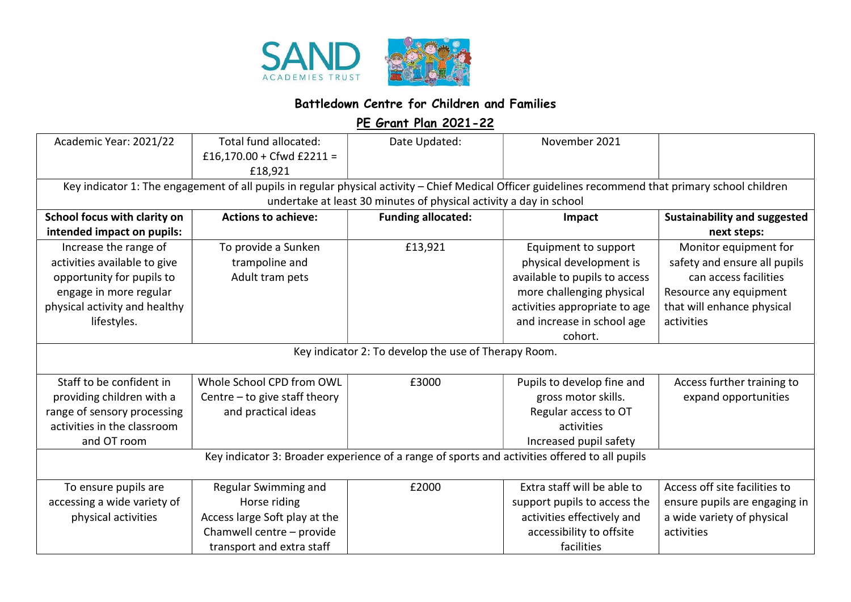

## Battledown Centre for Children and Families

PE Grant Plan 2021-22

| Academic Year: 2021/22                                                                                                                                                                                                     | Total fund allocated:<br>£16,170.00 + Cfwd £2211 =<br>£18,921                                                                   | Date Updated:             | November 2021                                                                                                                                                                           |                                                                                                                                                      |  |  |  |
|----------------------------------------------------------------------------------------------------------------------------------------------------------------------------------------------------------------------------|---------------------------------------------------------------------------------------------------------------------------------|---------------------------|-----------------------------------------------------------------------------------------------------------------------------------------------------------------------------------------|------------------------------------------------------------------------------------------------------------------------------------------------------|--|--|--|
| Key indicator 1: The engagement of all pupils in regular physical activity - Chief Medical Officer guidelines recommend that primary school children<br>undertake at least 30 minutes of physical activity a day in school |                                                                                                                                 |                           |                                                                                                                                                                                         |                                                                                                                                                      |  |  |  |
| School focus with clarity on                                                                                                                                                                                               | <b>Actions to achieve:</b>                                                                                                      | <b>Funding allocated:</b> | Impact                                                                                                                                                                                  | <b>Sustainability and suggested</b>                                                                                                                  |  |  |  |
| intended impact on pupils:                                                                                                                                                                                                 |                                                                                                                                 |                           |                                                                                                                                                                                         | next steps:                                                                                                                                          |  |  |  |
| Increase the range of<br>activities available to give<br>opportunity for pupils to<br>engage in more regular<br>physical activity and healthy<br>lifestyles.                                                               | To provide a Sunken<br>trampoline and<br>Adult tram pets                                                                        | £13,921                   | Equipment to support<br>physical development is<br>available to pupils to access<br>more challenging physical<br>activities appropriate to age<br>and increase in school age<br>cohort. | Monitor equipment for<br>safety and ensure all pupils<br>can access facilities<br>Resource any equipment<br>that will enhance physical<br>activities |  |  |  |
| Key indicator 2: To develop the use of Therapy Room.                                                                                                                                                                       |                                                                                                                                 |                           |                                                                                                                                                                                         |                                                                                                                                                      |  |  |  |
| Staff to be confident in<br>providing children with a<br>range of sensory processing<br>activities in the classroom<br>and OT room                                                                                         | Whole School CPD from OWL<br>Centre $-$ to give staff theory<br>and practical ideas                                             | £3000                     | Pupils to develop fine and<br>gross motor skills.<br>Regular access to OT<br>activities<br>Increased pupil safety                                                                       | Access further training to<br>expand opportunities                                                                                                   |  |  |  |
| Key indicator 3: Broader experience of a range of sports and activities offered to all pupils                                                                                                                              |                                                                                                                                 |                           |                                                                                                                                                                                         |                                                                                                                                                      |  |  |  |
| To ensure pupils are<br>accessing a wide variety of<br>physical activities                                                                                                                                                 | Regular Swimming and<br>Horse riding<br>Access large Soft play at the<br>Chamwell centre - provide<br>transport and extra staff | £2000                     | Extra staff will be able to<br>support pupils to access the<br>activities effectively and<br>accessibility to offsite<br>facilities                                                     | Access off site facilities to<br>ensure pupils are engaging in<br>a wide variety of physical<br>activities                                           |  |  |  |